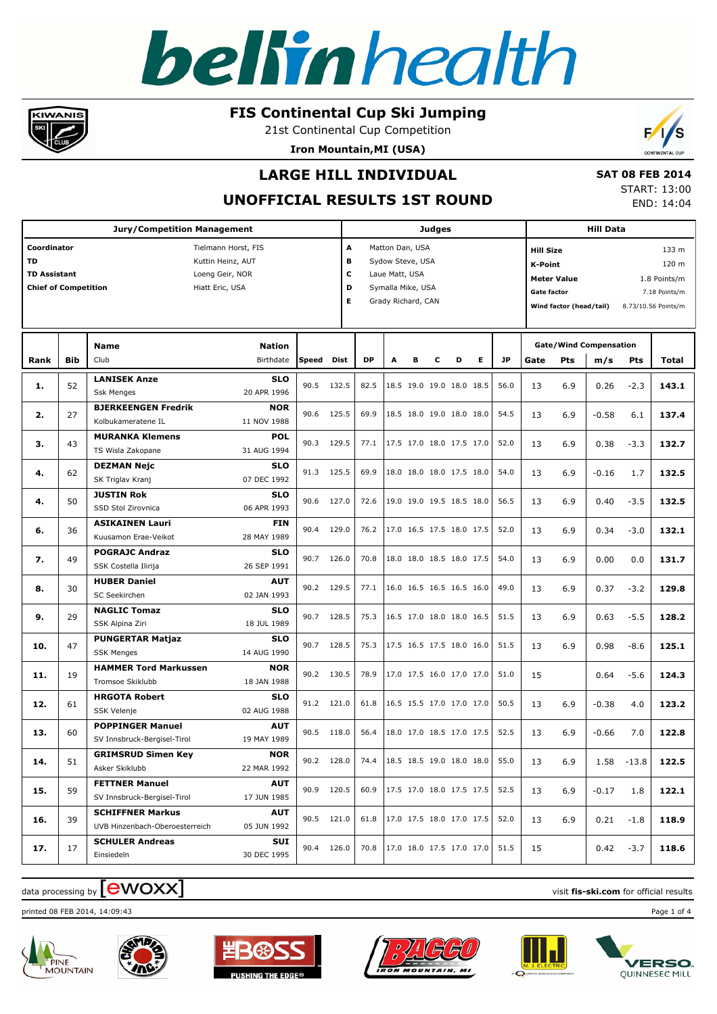# **KIWANIS**

### **FIS Continental Cup Ski Jumping**

21st Continental Cup Competition

**Iron Mountain,MI (USA)**



# **LARGE HILL INDIVIDUAL**

#### **UNOFFICIAL RESULTS 1ST ROUND**

 **SAT 08 FEB 2014** START: 13:00 END: 14:04

|                                                                                |            | <b>Jury/Competition Management</b>                        |                           | <b>Judges</b>                                                                                                             |       |      |   |   |   |                          |                                                                                                           | <b>Hill Data</b> |            |                                      |                                                                        |               |       |
|--------------------------------------------------------------------------------|------------|-----------------------------------------------------------|---------------------------|---------------------------------------------------------------------------------------------------------------------------|-------|------|---|---|---|--------------------------|-----------------------------------------------------------------------------------------------------------|------------------|------------|--------------------------------------|------------------------------------------------------------------------|---------------|-------|
| Coordinator<br><b>TD</b><br><b>TD Assistant</b><br><b>Chief of Competition</b> |            |                                                           |                           | A<br>Matton Dan, USA<br>в<br>Sydow Steve, USA<br>c<br>Laue Matt, USA<br>D<br>Symalla Mike, USA<br>Е<br>Grady Richard, CAN |       |      |   |   |   |                          | <b>Hill Size</b><br><b>K-Point</b><br><b>Meter Value</b><br><b>Gate factor</b><br>Wind factor (head/tail) |                  |            |                                      | 133 m<br>120 m<br>1.8 Points/m<br>7.18 Points/m<br>8.73/10.56 Points/m |               |       |
| Rank                                                                           | <b>Bib</b> | <b>Name</b><br>Club                                       | Speed                     | Dist                                                                                                                      | DP    | A    | в | с | D | Е                        | <b>JP</b>                                                                                                 | Gate             | <b>Pts</b> | <b>Gate/Wind Compensation</b><br>m/s | Pts                                                                    | Total         |       |
| 1.                                                                             | 52         | <b>LANISEK Anze</b><br><b>Ssk Menges</b>                  | <b>SLO</b><br>20 APR 1996 | 90.5                                                                                                                      | 132.5 | 82.5 |   |   |   | 18.5 19.0 19.0 18.0 18.5 |                                                                                                           | 56.0             | 13         | 6.9                                  | 0.26                                                                   | $-2.3$        | 143.1 |
| 2.                                                                             | 27         | <b>BJERKEENGEN Fredrik</b><br>Kolbukameratene IL          | <b>NOR</b><br>11 NOV 1988 | 90.6                                                                                                                      | 125.5 | 69.9 |   |   |   | 18.5 18.0 19.0 18.0 18.0 |                                                                                                           | 54.5             | 13         | 6.9                                  | $-0.58$                                                                | 6.1           | 137.4 |
| з.                                                                             | 43         | <b>MURANKA Klemens</b><br>TS Wisla Zakopane               | <b>POL</b><br>31 AUG 1994 | 90.3                                                                                                                      | 129.5 | 77.1 |   |   |   | 17.5 17.0 18.0 17.5 17.0 |                                                                                                           | 52.0             | 13         | 6.9                                  | 0.38                                                                   | $-3.3$        | 132.7 |
| 4.                                                                             | 62         | <b>DEZMAN Nejc</b><br>SK Triglav Kranj                    | <b>SLO</b><br>07 DEC 1992 | 91.3                                                                                                                      | 125.5 | 69.9 |   |   |   | 18.0 18.0 18.0 17.5 18.0 |                                                                                                           | 54.0             | 13         | 6.9                                  | $-0.16$                                                                | 1.7           | 132.5 |
| 4.                                                                             | 50         | <b>JUSTIN Rok</b><br>SSD Stol Zirovnica                   | <b>SLO</b><br>06 APR 1993 | 90.6                                                                                                                      | 127.0 | 72.6 |   |   |   | 19.0 19.0 19.5 18.5 18.0 |                                                                                                           | 56.5             | 13         | 6.9                                  | 0.40                                                                   | $-3.5$        | 132.5 |
| 6.                                                                             | 36         | <b>ASIKAINEN Lauri</b><br>Kuusamon Erae-Veikot            | <b>FIN</b><br>28 MAY 1989 | 90.4                                                                                                                      | 129.0 | 76.2 |   |   |   | 17.0 16.5 17.5 18.0 17.5 |                                                                                                           | 52.0             | 13         | 6.9                                  | 0.34                                                                   | $-3.0$        | 132.1 |
| 7.                                                                             | 49         | <b>POGRAJC Andraz</b><br>SSK Costella Ilirija             | <b>SLO</b><br>26 SEP 1991 | 90.7                                                                                                                      | 126.0 | 70.8 |   |   |   | 18.0 18.0 18.5 18.0 17.5 |                                                                                                           | 54.0             | 13         | 6.9                                  | 0.00                                                                   | 0.0           | 131.7 |
| 8.                                                                             | 30         | <b>HUBER Daniel</b><br>SC Seekirchen                      | <b>AUT</b><br>02 JAN 1993 | 90.2                                                                                                                      | 129.5 | 77.1 |   |   |   | 16.0 16.5 16.5 16.5 16.0 |                                                                                                           | 49.0             | 13         | 6.9                                  | 0.37                                                                   | $-3.2$        | 129.8 |
| 9.                                                                             | 29         | <b>NAGLIC Tomaz</b><br>SSK Alpina Ziri                    | <b>SLO</b><br>18 JUL 1989 | 90.7                                                                                                                      | 128.5 | 75.3 |   |   |   | 16.5 17.0 18.0 18.0 16.5 |                                                                                                           | 51.5             | 13         | 6.9                                  | 0.63                                                                   | $-5.5$        | 128.2 |
| 10.                                                                            | 47         | <b>PUNGERTAR Matjaz</b><br><b>SSK Menges</b>              | <b>SLO</b><br>14 AUG 1990 | 90.7                                                                                                                      | 128.5 | 75.3 |   |   |   | 17.5 16.5 17.5 18.0 16.0 |                                                                                                           | 51.5             | 13         | 6.9                                  | 0.98                                                                   | $-8.6$        | 125.1 |
| 11.                                                                            | 19         | <b>HAMMER Tord Markussen</b><br>Tromsoe Skiklubb          | <b>NOR</b><br>18 JAN 1988 | 90.2                                                                                                                      | 130.5 | 78.9 |   |   |   | 17.0 17.5 16.0 17.0 17.0 |                                                                                                           | 51.0             | 15         |                                      | 0.64                                                                   | $-5.6$        | 124.3 |
| 12.                                                                            | 61         | <b>HRGOTA Robert</b><br>SSK Velenje                       | <b>SLO</b><br>02 AUG 1988 | 91.2                                                                                                                      | 121.0 | 61.8 |   |   |   | 16.5 15.5 17.0 17.0 17.0 |                                                                                                           | 50.5             | 13         | 6.9                                  | $-0.38$                                                                | 4.0           | 123.2 |
| 13.                                                                            | 60         | <b>POPPINGER Manuel</b><br>SV Innsbruck-Bergisel-Tirol    | <b>AUT</b><br>19 MAY 1989 | 90.5                                                                                                                      | 118.0 | 56.4 |   |   |   | 18.0 17.0 18.5 17.0 17.5 |                                                                                                           | 52.5             | 13         | 6.9                                  | $-0.66$                                                                | 7.0           | 122.8 |
| 14.                                                                            | 51         | <b>GRIMSRUD Simen Kev</b><br>Asker Skiklubb               | NOR<br>22 MAR 1992        | 90.2 128.0                                                                                                                |       | 74.4 |   |   |   | 18.5 18.5 19.0 18.0 18.0 |                                                                                                           | 55.0             | 13         | 6.9                                  |                                                                        | $1.58 - 13.8$ | 122.5 |
| 15.                                                                            | 59         | <b>FETTNER Manuel</b><br>SV Innsbruck-Bergisel-Tirol      | <b>AUT</b><br>17 JUN 1985 | 90.9                                                                                                                      | 120.5 | 60.9 |   |   |   | 17.5 17.0 18.0 17.5 17.5 |                                                                                                           | 52.5             | 13         | 6.9                                  | $-0.17$                                                                | 1.8           | 122.1 |
| 16.                                                                            | 39         | <b>SCHIFFNER Markus</b><br>UVB Hinzenbach-Oberoesterreich | <b>AUT</b><br>05 JUN 1992 | 90.5 121.0                                                                                                                |       | 61.8 |   |   |   | 17.0 17.5 18.0 17.0 17.5 |                                                                                                           | 52.0             | 13         | 6.9                                  | 0.21                                                                   | $-1.8$        | 118.9 |
| 17.                                                                            | 17         | <b>SCHULER Andreas</b><br>Einsiedeln                      | SUI<br>30 DEC 1995        | 90.4                                                                                                                      | 126.0 | 70.8 |   |   |   | 17.0 18.0 17.5 17.0 17.0 |                                                                                                           | 51.5             | 15         |                                      | 0.42                                                                   | $-3.7$        | 118.6 |

# $\frac{1}{2}$  data processing by  $\boxed{\text{ewOX}}$

printed 08 FEB 2014, 14:09:43 Page 1 of 4











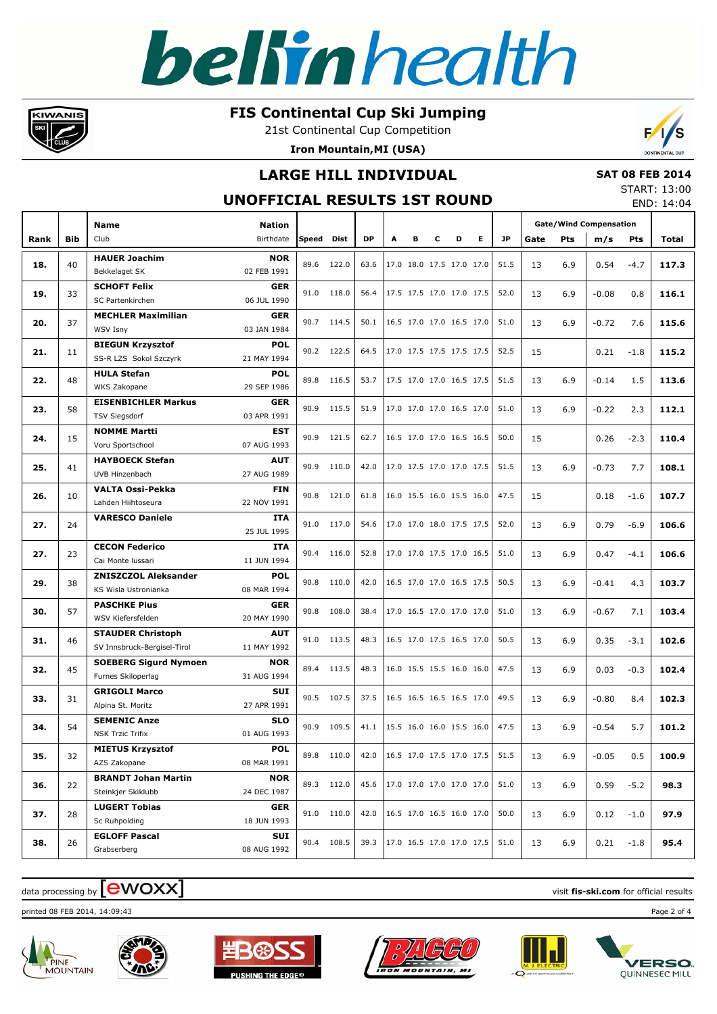### **FIS Continental Cup Ski Jumping**

21st Continental Cup Competition **Iron Mountain,MI (USA)**



### **LARGE HILL INDIVIDUAL**

 **SAT 08 FEB 2014**

#### **UNOFFICIAL RESULTS 1ST ROUND**

|      |            | <b>Name</b>                                        | <b>Nation</b>             |       |            |           |   |   |   |                          |    |           |      |     | <b>Gate/Wind Compensation</b> |        |       |
|------|------------|----------------------------------------------------|---------------------------|-------|------------|-----------|---|---|---|--------------------------|----|-----------|------|-----|-------------------------------|--------|-------|
| Rank | <b>Bib</b> | Club                                               | Birthdate                 | Speed | Dist       | <b>DP</b> | A | в | c | D                        | E. | <b>JP</b> | Gate | Pts | m/s                           | Pts    | Total |
| 18.  | 40         | <b>HAUER Joachim</b>                               | <b>NOR</b>                |       | 89.6 122.0 | 63.6      |   |   |   | 17.0 18.0 17.5 17.0 17.0 |    | 51.5      | 13   | 6.9 | 0.54                          | $-4.7$ | 117.3 |
|      |            | Bekkelaget SK                                      | 02 FEB 1991               |       |            |           |   |   |   |                          |    |           |      |     |                               |        |       |
| 19.  | 33         | <b>SCHOFT Felix</b>                                | <b>GER</b>                |       | 91.0 118.0 | 56.4      |   |   |   | 17.5 17.5 17.0 17.0 17.5 |    | 52.0      | 13   | 6.9 | $-0.08$                       | 0.8    | 116.1 |
|      |            | <b>SC Partenkirchen</b>                            | 06 JUL 1990               |       |            |           |   |   |   |                          |    |           |      |     |                               |        |       |
| 20.  | 37         | <b>MECHLER Maximilian</b>                          | <b>GER</b>                |       | 90.7 114.5 | 50.1      |   |   |   | 16.5 17.0 17.0 16.5 17.0 |    | 51.0      | 13   | 6.9 | $-0.72$                       | 7.6    | 115.6 |
|      |            | <b>WSV Isny</b>                                    | 03 JAN 1984               |       |            |           |   |   |   |                          |    |           |      |     |                               |        |       |
| 21.  | 11         | <b>BIEGUN Krzysztof</b>                            | <b>POL</b>                |       | 90.2 122.5 | 64.5      |   |   |   | 17.0 17.5 17.5 17.5 17.5 |    | 52.5      | 15   |     | 0.21                          | $-1.8$ | 115.2 |
|      |            | SS-R LZS Sokol Szczyrk                             | 21 MAY 1994               |       |            |           |   |   |   |                          |    |           |      |     |                               |        |       |
| 22.  | 48         | <b>HULA Stefan</b>                                 | <b>POL</b>                | 89.8  | 116.5      | 53.7      |   |   |   | 17.5 17.0 17.0 16.5 17.5 |    | 51.5      | 13   | 6.9 | $-0.14$                       | 1.5    | 113.6 |
|      |            | WKS Zakopane                                       | 29 SEP 1986               |       |            |           |   |   |   |                          |    |           |      |     |                               |        |       |
| 23.  | 58         | <b>EISENBICHLER Markus</b>                         | <b>GER</b>                | 90.9  | 115.5      | 51.9      |   |   |   | 17.0 17.0 17.0 16.5 17.0 |    | 51.0      | 13   | 6.9 | $-0.22$                       | 2.3    | 112.1 |
|      |            | <b>TSV Siegsdorf</b>                               | 03 APR 1991               |       |            |           |   |   |   |                          |    |           |      |     |                               |        |       |
| 24.  | 15         | <b>NOMME Martti</b>                                | EST                       | 90.9  | 121.5      | 62.7      |   |   |   | 16.5 17.0 17.0 16.5 16.5 |    | 50.0      | 15   |     | 0.26                          | $-2.3$ | 110.4 |
|      |            | Voru Sportschool                                   | 07 AUG 1993               |       |            |           |   |   |   |                          |    |           |      |     |                               |        |       |
| 25.  | 41         | <b>HAYBOECK Stefan</b>                             | <b>AUT</b>                | 90.9  | 110.0      | 42.0      |   |   |   | 17.0 17.5 17.0 17.0 17.5 |    | 51.5      | 13   | 6.9 | $-0.73$                       | 7.7    | 108.1 |
|      |            | UVB Hinzenbach                                     | 27 AUG 1989               |       |            |           |   |   |   |                          |    |           |      |     |                               |        |       |
| 26.  | 10         | <b>VALTA Ossi-Pekka</b>                            | <b>FIN</b>                | 90.8  | 121.0      | 61.8      |   |   |   | 16.0 15.5 16.0 15.5 16.0 |    | 47.5      | 15   |     | 0.18                          | $-1.6$ | 107.7 |
|      |            | Lahden Hiihtoseura                                 | 22 NOV 1991               |       |            |           |   |   |   |                          |    |           |      |     |                               |        |       |
| 27.  | 24         | <b>VARESCO Daniele</b>                             | <b>ITA</b>                |       | 91.0 117.0 | 54.6      |   |   |   | 17.0 17.0 18.0 17.5 17.5 |    | 52.0      | 13   | 6.9 | 0.79                          | $-6.9$ | 106.6 |
|      |            |                                                    | 25 JUL 1995               |       |            |           |   |   |   |                          |    |           |      |     |                               |        |       |
| 27.  | 23         | <b>CECON Federico</b>                              | <b>ITA</b>                | 90.4  | 116.0      | 52.8      |   |   |   | 17.0 17.0 17.5 17.0 16.5 |    | 51.0      | 13   | 6.9 | 0.47                          | $-4.1$ | 106.6 |
|      |            | Cai Monte Iussari                                  | 11 JUN 1994               |       |            |           |   |   |   |                          |    |           |      |     |                               |        |       |
| 29.  | 38         | <b>ZNISZCZOL Aleksander</b>                        | <b>POL</b>                | 90.8  | 110.0      | 42.0      |   |   |   | 16.5 17.0 17.0 16.5 17.5 |    | 50.5      | 13   | 6.9 | $-0.41$                       | 4.3    | 103.7 |
|      |            | KS Wisla Ustronianka                               | 08 MAR 1994               |       |            |           |   |   |   |                          |    |           |      |     |                               |        |       |
| 30.  | 57         | <b>PASCHKE Pius</b><br>WSV Kiefersfelden           | <b>GER</b><br>20 MAY 1990 | 90.8  | 108.0      | 38.4      |   |   |   | 17.0 16.5 17.0 17.0 17.0 |    | 51.0      | 13   | 6.9 | $-0.67$                       | 7.1    | 103.4 |
|      |            |                                                    |                           |       |            |           |   |   |   |                          |    |           |      |     |                               |        |       |
| 31.  | 46         | <b>STAUDER Christoph</b>                           | <b>AUT</b><br>11 MAY 1992 |       | 91.0 113.5 | 48.3      |   |   |   | 16.5 17.0 17.5 16.5 17.0 |    | 50.5      | 13   | 6.9 | 0.35                          | $-3.1$ | 102.6 |
|      |            | SV Innsbruck-Bergisel-Tirol                        |                           |       |            |           |   |   |   |                          |    |           |      |     |                               |        |       |
| 32.  | 45         | <b>SOEBERG Sigurd Nymoen</b><br>Furnes Skiloperlag | <b>NOR</b><br>31 AUG 1994 | 89.4  | 113.5      | 48.3      |   |   |   | 16.0 15.5 15.5 16.0 16.0 |    | 47.5      | 13   | 6.9 | 0.03                          | $-0.3$ | 102.4 |
|      |            |                                                    |                           |       |            |           |   |   |   |                          |    |           |      |     |                               |        |       |
| 33.  | 31         | <b>GRIGOLI Marco</b>                               | <b>SUI</b><br>27 APR 1991 | 90.5  | 107.5      | 37.5      |   |   |   | 16.5 16.5 16.5 16.5 17.0 |    | 49.5      | 13   | 6.9 | $-0.80$                       | 8.4    | 102.3 |
|      |            | Alpina St. Moritz                                  |                           |       |            |           |   |   |   |                          |    |           |      |     |                               |        |       |
| 34.  | 54         | <b>SEMENIC Anze</b>                                | <b>SLO</b>                | 90.9  | 109.5      | 41.1      |   |   |   | 15.5 16.0 16.0 15.5 16.0 |    | 47.5      | 13   | 6.9 | $-0.54$                       | 5.7    | 101.2 |
|      |            | <b>NSK Trzic Trifix</b>                            | 01 AUG 1993               |       |            |           |   |   |   |                          |    |           |      |     |                               |        |       |
| 35.  | 32         | <b>MIETUS Krzysztof</b>                            | <b>POL</b>                |       | 89.8 110.0 | 42.0      |   |   |   | 16.5 17.0 17.5 17.0 17.5 |    | 51.5      | 13   | 6.9 | $-0.05$                       | 0.5    | 100.9 |
|      |            | AZS Zakopane                                       | 08 MAR 1991               |       |            |           |   |   |   |                          |    |           |      |     |                               |        |       |
| 36.  | 22         | <b>BRANDT Johan Martin</b>                         | <b>NOR</b>                |       | 89.3 112.0 | 45.6      |   |   |   | 17.0 17.0 17.0 17.0 17.0 |    | 51.0      | 13   | 6.9 | 0.59                          | $-5.2$ | 98.3  |
|      |            | Steinkjer Skiklubb                                 | 24 DEC 1987               |       |            |           |   |   |   |                          |    |           |      |     |                               |        |       |
| 37.  | 28         | <b>LUGERT Tobias</b>                               | <b>GER</b>                |       | 91.0 110.0 | 42.0      |   |   |   | 16.5 17.0 16.5 16.0 17.0 |    | 50.0      | 13   | 6.9 | 0.12                          | $-1.0$ | 97.9  |
|      |            | Sc Ruhpolding                                      | 18 JUN 1993               |       |            |           |   |   |   |                          |    |           |      |     |                               |        |       |
| 38.  | 26         | <b>EGLOFF Pascal</b>                               | SUI                       |       | 90.4 108.5 | 39.3      |   |   |   | 17.0 16.5 17.0 17.0 17.5 |    | 51.0      | 13   | 6.9 | 0.21                          | $-1.8$ | 95.4  |
|      |            | Grabserberg                                        | 08 AUG 1992               |       |            |           |   |   |   |                          |    |           |      |     |                               |        |       |

# $\frac{1}{2}$  data processing by  $\boxed{\text{ewOX}}$

printed 08 FEB 2014, 14:09:43 Page 2 of 4



**KIWANIS** 







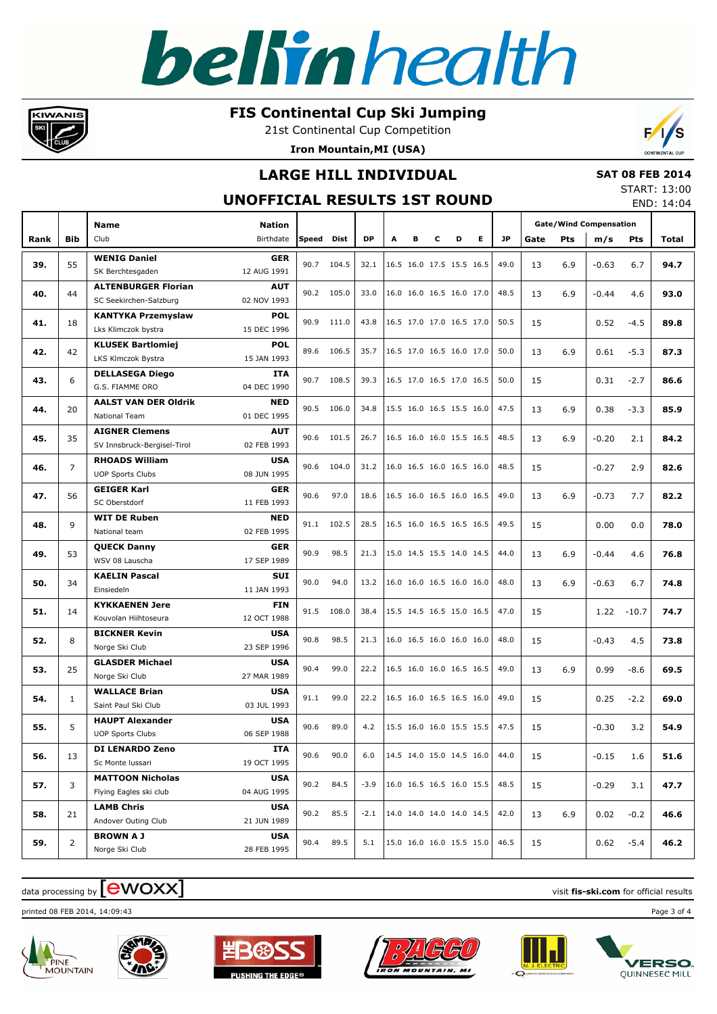### **FIS Continental Cup Ski Jumping**

21st Continental Cup Competition



END: 14:04

# **Iron Mountain,MI (USA) LARGE HILL INDIVIDUAL**

 **SAT 08 FEB 2014** START: 13:00

#### **UNOFFICIAL RESULTS 1ST ROUND**

|      |                | Name                                                 | <b>Nation</b>             |       |       |           |                            |   |   |                          |   |      |      |     | <b>Gate/Wind Compensation</b> |            |              |
|------|----------------|------------------------------------------------------|---------------------------|-------|-------|-----------|----------------------------|---|---|--------------------------|---|------|------|-----|-------------------------------|------------|--------------|
| Rank | Bib            | Club                                                 | Birthdate                 | Speed | Dist  | <b>DP</b> | A                          | в | c | D                        | Е | JP   | Gate | Pts | m/s                           | <b>Pts</b> | <b>Total</b> |
|      |                | <b>WENIG Daniel</b>                                  | <b>GER</b>                |       |       |           |                            |   |   |                          |   |      |      |     |                               |            |              |
| 39.  | 55             | SK Berchtesgaden                                     | 12 AUG 1991               | 90.7  | 104.5 | 32.1      |                            |   |   | 16.5 16.0 17.5 15.5 16.5 |   | 49.0 | 13   | 6.9 | $-0.63$                       | 6.7        | 94.7         |
|      | 44             | <b>ALTENBURGER Florian</b>                           | <b>AUT</b>                | 90.2  | 105.0 | 33.0      |                            |   |   | 16.0 16.0 16.5 16.0 17.0 |   | 48.5 |      |     |                               |            |              |
| 40.  |                | SC Seekirchen-Salzburg                               | 02 NOV 1993               |       |       |           |                            |   |   |                          |   |      | 13   | 6.9 | $-0.44$                       | 4.6        | 93.0         |
| 41.  | 18             | <b>KANTYKA Przemyslaw</b>                            | <b>POL</b>                | 90.9  | 111.0 | 43.8      |                            |   |   | 16.5 17.0 17.0 16.5 17.0 |   | 50.5 | 15   |     | 0.52                          | $-4.5$     | 89.8         |
|      |                | Lks Klimczok bystra                                  | 15 DEC 1996               |       |       |           |                            |   |   |                          |   |      |      |     |                               |            |              |
| 42.  | 42             | <b>KLUSEK Bartlomiej</b>                             | <b>POL</b>                | 89.6  | 106.5 | 35.7      |                            |   |   | 16.5 17.0 16.5 16.0 17.0 |   | 50.0 | 13   | 6.9 | 0.61                          | $-5.3$     | 87.3         |
|      |                | LKS Klmczok Bystra                                   | 15 JAN 1993               |       |       |           |                            |   |   |                          |   |      |      |     |                               |            |              |
| 43.  | 6              | <b>DELLASEGA Diego</b>                               | ITA                       | 90.7  | 108.5 | 39.3      |                            |   |   | 16.5 17.0 16.5 17.0 16.5 |   | 50.0 | 15   |     | 0.31                          | $-2.7$     | 86.6         |
|      |                | G.S. FIAMME ORO                                      | 04 DEC 1990               |       |       |           |                            |   |   |                          |   |      |      |     |                               |            |              |
| 44.  | 20             | <b>AALST VAN DER Oldrik</b>                          | <b>NED</b>                | 90.5  | 106.0 | 34.8      |                            |   |   | 15.5 16.0 16.5 15.5 16.0 |   | 47.5 | 13   | 6.9 | 0.38                          | $-3.3$     | 85.9         |
|      |                | <b>National Team</b>                                 | 01 DEC 1995               |       |       |           |                            |   |   |                          |   |      |      |     |                               |            |              |
| 45.  | 35             | <b>AIGNER Clemens</b><br>SV Innsbruck-Bergisel-Tirol | <b>AUT</b><br>02 FEB 1993 | 90.6  | 101.5 | 26.7      |                            |   |   | 16.5 16.0 16.0 15.5 16.5 |   | 48.5 | 13   | 6.9 | $-0.20$                       | 2.1        | 84.2         |
|      |                | <b>RHOADS William</b>                                | <b>USA</b>                |       |       |           |                            |   |   |                          |   |      |      |     |                               |            |              |
| 46.  | $\overline{7}$ | <b>UOP Sports Clubs</b>                              | 08 JUN 1995               | 90.6  | 104.0 | 31.2      |                            |   |   | 16.0 16.5 16.0 16.5 16.0 |   | 48.5 | 15   |     | $-0.27$                       | 2.9        | 82.6         |
|      |                | <b>GEIGER Karl</b>                                   | <b>GER</b>                |       |       |           |                            |   |   |                          |   |      |      |     |                               |            |              |
| 47.  | 56             | SC Oberstdorf                                        | 11 FEB 1993               | 90.6  | 97.0  | 18.6      |                            |   |   | 16.5 16.0 16.5 16.0 16.5 |   | 49.0 | 13   | 6.9 | $-0.73$                       | 7.7        | 82.2         |
|      |                | <b>WIT DE Ruben</b>                                  | <b>NED</b>                |       |       |           |                            |   |   |                          |   |      |      |     |                               |            |              |
| 48.  | 9              | National team                                        | 02 FEB 1995               | 91.1  | 102.5 | 28.5      |                            |   |   | 16.5 16.0 16.5 16.5 16.5 |   | 49.5 | 15   |     | 0.00                          | 0.0        | 78.0         |
|      |                | <b>QUECK Danny</b>                                   | <b>GER</b>                |       |       |           |                            |   |   |                          |   |      |      |     |                               |            |              |
| 49.  | 53             | WSV 08 Lauscha                                       | 17 SEP 1989               | 90.9  | 98.5  | 21.3      |                            |   |   | 15.0 14.5 15.5 14.0 14.5 |   | 44.0 | 13   | 6.9 | $-0.44$                       | 4.6        | 76.8         |
|      | 34             | <b>KAELIN Pascal</b>                                 | SUI                       | 90.0  | 94.0  | 13.2      |                            |   |   | 16.0 16.0 16.5 16.0 16.0 |   | 48.0 |      |     |                               |            |              |
| 50.  |                | Einsiedeln                                           | 11 JAN 1993               |       |       |           |                            |   |   |                          |   |      | 13   | 6.9 | $-0.63$                       | 6.7        | 74.8         |
| 51.  | 14             | <b>KYKKAENEN Jere</b>                                | <b>FIN</b>                | 91.5  | 108.0 | 38.4      |                            |   |   | 15.5 14.5 16.5 15.0 16.5 |   | 47.0 | 15   |     | 1.22                          | $-10.7$    | 74.7         |
|      |                | Kouvolan Hiihtoseura                                 | 12 OCT 1988               |       |       |           |                            |   |   |                          |   |      |      |     |                               |            |              |
| 52.  | 8              | <b>BICKNER Kevin</b>                                 | <b>USA</b>                | 90.8  | 98.5  | 21.3      |                            |   |   | 16.0 16.5 16.0 16.0 16.0 |   | 48.0 | 15   |     | $-0.43$                       | 4.5        | 73.8         |
|      |                | Norge Ski Club                                       | 23 SEP 1996               |       |       |           |                            |   |   |                          |   |      |      |     |                               |            |              |
| 53.  | 25             | <b>GLASDER Michael</b>                               | <b>USA</b>                | 90.4  | 99.0  | 22.2      |                            |   |   | 16.5 16.0 16.0 16.5 16.5 |   | 49.0 | 13   | 6.9 | 0.99                          | $-8.6$     | 69.5         |
|      |                | Norge Ski Club                                       | 27 MAR 1989               |       |       |           |                            |   |   |                          |   |      |      |     |                               |            |              |
| 54.  | $\mathbf{1}$   | <b>WALLACE Brian</b>                                 | <b>USA</b>                | 91.1  | 99.0  | 22.2      |                            |   |   | 16.5 16.0 16.5 16.5 16.0 |   | 49.0 | 15   |     | 0.25                          | $-2.2$     | 69.0         |
|      |                | Saint Paul Ski Club                                  | 03 JUL 1993               |       |       |           |                            |   |   |                          |   |      |      |     |                               |            |              |
| 55.  | 5              | <b>HAUPT Alexander</b><br><b>UOP Sports Clubs</b>    | <b>USA</b><br>06 SEP 1988 | 90.6  | 89.0  | 4.2       |                            |   |   | 15.5 16.0 16.0 15.5 15.5 |   | 47.5 | 15   |     | $-0.30$                       | 3.2        | 54.9         |
|      |                | DI LENARDO Zeno                                      | ITA                       |       |       |           |                            |   |   |                          |   |      |      |     |                               |            |              |
| 56.  | 13             | Sc Monte Iussari                                     | 19 OCT 1995               | 90.6  | 90.0  | 6.0       | $14.5$ 14.0 15.0 14.5 16.0 |   |   |                          |   | 44.0 | 15   |     | $-0.15$                       | 1.6        | 51.6         |
|      |                | <b>MATTOON Nicholas</b>                              | <b>USA</b>                |       |       |           |                            |   |   |                          |   |      |      |     |                               |            |              |
| 57.  | 3              | Flying Eagles ski club                               | 04 AUG 1995               | 90.2  | 84.5  | $-3.9$    | 16.0 16.5 16.5 16.0 15.5   |   |   |                          |   | 48.5 | 15   |     | $-0.29$                       | 3.1        | 47.7         |
|      |                | <b>LAMB Chris</b>                                    | <b>USA</b>                |       |       |           |                            |   |   |                          |   |      |      |     |                               |            |              |
| 58.  | 21             | Andover Outing Club                                  | 21 JUN 1989               | 90.2  | 85.5  | $-2.1$    | 14.0 14.0 14.0 14.0 14.5   |   |   |                          |   | 42.0 | 13   | 6.9 | 0.02                          | $-0.2$     | 46.6         |
|      |                | <b>BROWN A J</b>                                     | <b>USA</b>                |       |       |           |                            |   |   |                          |   |      |      |     |                               |            |              |
| 59.  | $\overline{2}$ | Norge Ski Club                                       | 28 FEB 1995               | 90.4  | 89.5  | 5.1       |                            |   |   | 15.0 16.0 16.0 15.5 15.0 |   | 46.5 | 15   |     | 0.62                          | $-5.4$     | 46.2         |
|      |                |                                                      |                           |       |       |           |                            |   |   |                          |   |      |      |     |                               |            |              |

### $\frac{1}{2}$  data processing by  $\boxed{\text{ewOX}}$

printed 08 FEB 2014, 14:09:43 Page 3 of 4



**KIWANIS**